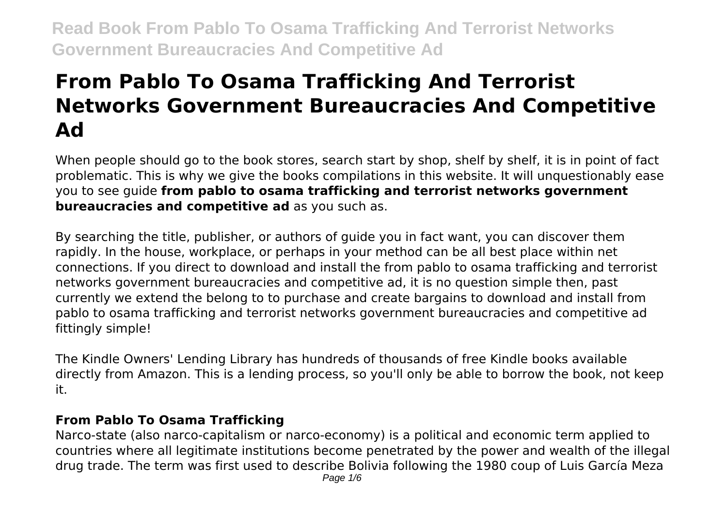# **From Pablo To Osama Trafficking And Terrorist Networks Government Bureaucracies And Competitive Ad**

When people should go to the book stores, search start by shop, shelf by shelf, it is in point of fact problematic. This is why we give the books compilations in this website. It will unquestionably ease you to see guide **from pablo to osama trafficking and terrorist networks government bureaucracies and competitive ad** as you such as.

By searching the title, publisher, or authors of guide you in fact want, you can discover them rapidly. In the house, workplace, or perhaps in your method can be all best place within net connections. If you direct to download and install the from pablo to osama trafficking and terrorist networks government bureaucracies and competitive ad, it is no question simple then, past currently we extend the belong to to purchase and create bargains to download and install from pablo to osama trafficking and terrorist networks government bureaucracies and competitive ad fittingly simple!

The Kindle Owners' Lending Library has hundreds of thousands of free Kindle books available directly from Amazon. This is a lending process, so you'll only be able to borrow the book, not keep it.

### **From Pablo To Osama Trafficking**

Narco-state (also narco-capitalism or narco-economy) is a political and economic term applied to countries where all legitimate institutions become penetrated by the power and wealth of the illegal drug trade. The term was first used to describe Bolivia following the 1980 coup of Luis García Meza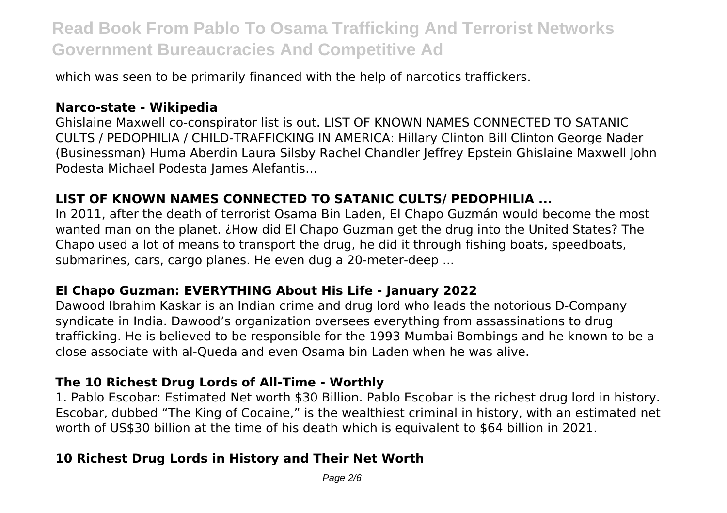which was seen to be primarily financed with the help of narcotics traffickers.

### **Narco-state - Wikipedia**

Ghislaine Maxwell co-conspirator list is out. LIST OF KNOWN NAMES CONNECTED TO SATANIC CULTS / PEDOPHILIA / CHILD-TRAFFICKING IN AMERICA: Hillary Clinton Bill Clinton George Nader (Businessman) Huma Aberdin Laura Silsby Rachel Chandler Jeffrey Epstein Ghislaine Maxwell John Podesta Michael Podesta James Alefantis…

### **LIST OF KNOWN NAMES CONNECTED TO SATANIC CULTS/ PEDOPHILIA ...**

In 2011, after the death of terrorist Osama Bin Laden, El Chapo Guzmán would become the most wanted man on the planet. ¿How did El Chapo Guzman get the drug into the United States? The Chapo used a lot of means to transport the drug, he did it through fishing boats, speedboats, submarines, cars, cargo planes. He even dug a 20-meter-deep ...

### **El Chapo Guzman: EVERYTHING About His Life - January 2022**

Dawood Ibrahim Kaskar is an Indian crime and drug lord who leads the notorious D-Company syndicate in India. Dawood's organization oversees everything from assassinations to drug trafficking. He is believed to be responsible for the 1993 Mumbai Bombings and he known to be a close associate with al-Queda and even Osama bin Laden when he was alive.

### **The 10 Richest Drug Lords of All-Time - Worthly**

1. Pablo Escobar: Estimated Net worth \$30 Billion. Pablo Escobar is the richest drug lord in history. Escobar, dubbed "The King of Cocaine," is the wealthiest criminal in history, with an estimated net worth of US\$30 billion at the time of his death which is equivalent to \$64 billion in 2021.

### **10 Richest Drug Lords in History and Their Net Worth**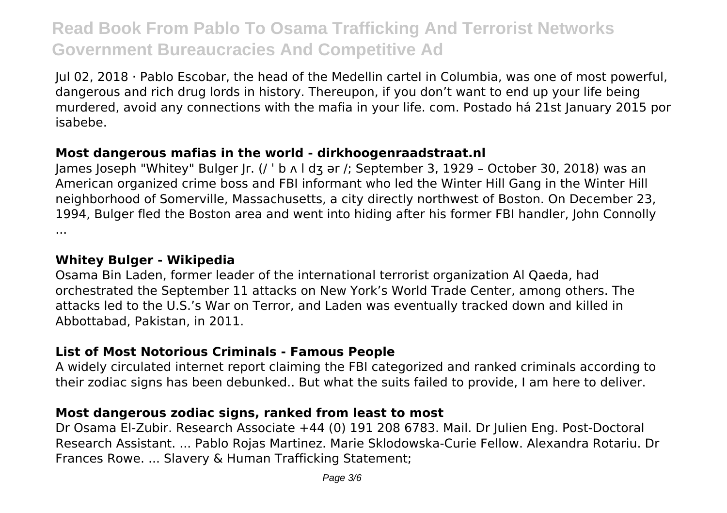Jul 02, 2018 · Pablo Escobar, the head of the Medellin cartel in Columbia, was one of most powerful, dangerous and rich drug lords in history. Thereupon, if you don't want to end up your life being murdered, avoid any connections with the mafia in your life. com. Postado há 21st January 2015 por isabebe.

### **Most dangerous mafias in the world - dirkhoogenraadstraat.nl**

James Joseph "Whitey" Bulger Jr. (/ ˈ b ʌ l dʒ ər /; September 3, 1929 – October 30, 2018) was an American organized crime boss and FBI informant who led the Winter Hill Gang in the Winter Hill neighborhood of Somerville, Massachusetts, a city directly northwest of Boston. On December 23, 1994, Bulger fled the Boston area and went into hiding after his former FBI handler, John Connolly ...

### **Whitey Bulger - Wikipedia**

Osama Bin Laden, former leader of the international terrorist organization Al Qaeda, had orchestrated the September 11 attacks on New York's World Trade Center, among others. The attacks led to the U.S.'s War on Terror, and Laden was eventually tracked down and killed in Abbottabad, Pakistan, in 2011.

### **List of Most Notorious Criminals - Famous People**

A widely circulated internet report claiming the FBI categorized and ranked criminals according to their zodiac signs has been debunked.. But what the suits failed to provide, I am here to deliver.

### **Most dangerous zodiac signs, ranked from least to most**

Dr Osama El-Zubir. Research Associate +44 (0) 191 208 6783. Mail. Dr Julien Eng. Post-Doctoral Research Assistant. ... Pablo Rojas Martinez. Marie Sklodowska-Curie Fellow. Alexandra Rotariu. Dr Frances Rowe. ... Slavery & Human Trafficking Statement;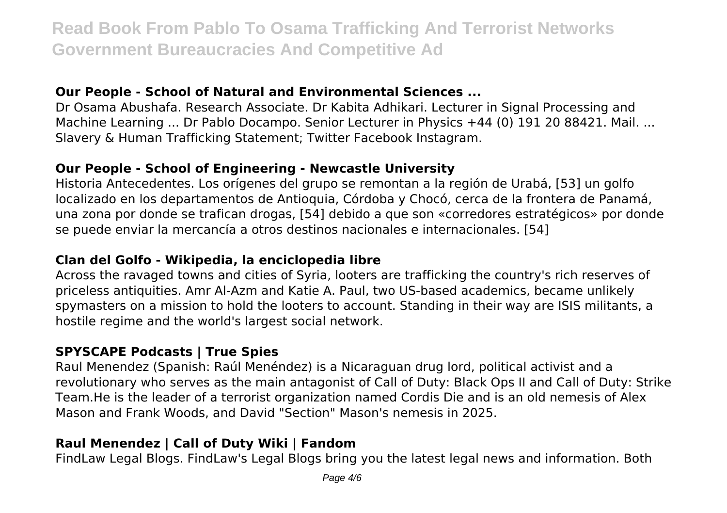### **Our People - School of Natural and Environmental Sciences ...**

Dr Osama Abushafa. Research Associate. Dr Kabita Adhikari. Lecturer in Signal Processing and Machine Learning ... Dr Pablo Docampo. Senior Lecturer in Physics +44 (0) 191 20 88421. Mail. ... Slavery & Human Trafficking Statement; Twitter Facebook Instagram.

### **Our People - School of Engineering - Newcastle University**

Historia Antecedentes. Los orígenes del grupo se remontan a la región de Urabá, [53] un golfo localizado en los departamentos de Antioquia, Córdoba y Chocó, cerca de la frontera de Panamá, una zona por donde se trafican drogas, [54] debido a que son «corredores estratégicos» por donde se puede enviar la mercancía a otros destinos nacionales e internacionales. [54]

### **Clan del Golfo - Wikipedia, la enciclopedia libre**

Across the ravaged towns and cities of Syria, looters are trafficking the country's rich reserves of priceless antiquities. Amr Al-Azm and Katie A. Paul, two US-based academics, became unlikely spymasters on a mission to hold the looters to account. Standing in their way are ISIS militants, a hostile regime and the world's largest social network.

### **SPYSCAPE Podcasts | True Spies**

Raul Menendez (Spanish: Raúl Menéndez) is a Nicaraguan drug lord, political activist and a revolutionary who serves as the main antagonist of Call of Duty: Black Ops II and Call of Duty: Strike Team.He is the leader of a terrorist organization named Cordis Die and is an old nemesis of Alex Mason and Frank Woods, and David "Section" Mason's nemesis in 2025.

### **Raul Menendez | Call of Duty Wiki | Fandom**

FindLaw Legal Blogs. FindLaw's Legal Blogs bring you the latest legal news and information. Both